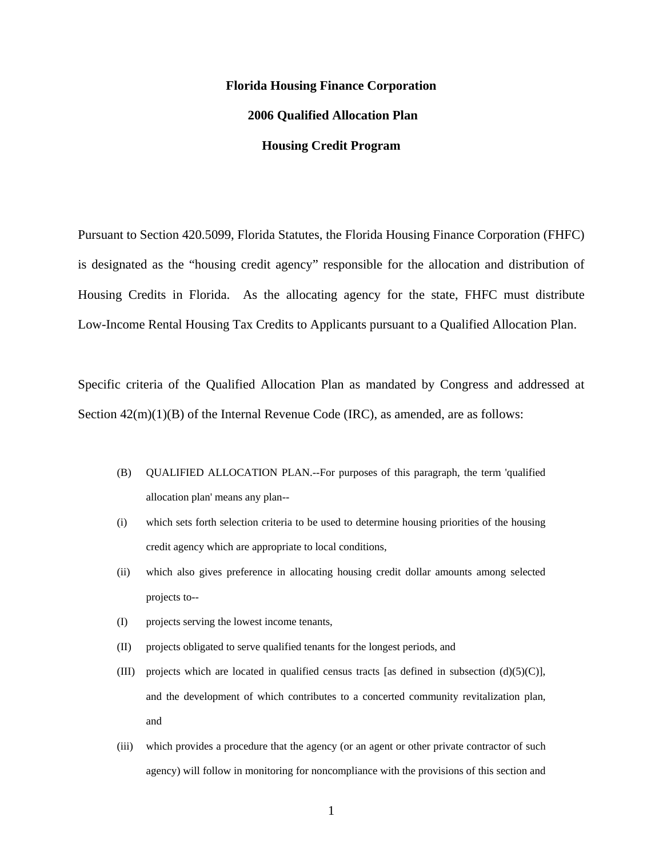# **Florida Housing Finance Corporation 2006 Qualified Allocation Plan Housing Credit Program**

Pursuant to Section 420.5099, Florida Statutes, the Florida Housing Finance Corporation (FHFC) is designated as the "housing credit agency" responsible for the allocation and distribution of Housing Credits in Florida. As the allocating agency for the state, FHFC must distribute Low-Income Rental Housing Tax Credits to Applicants pursuant to a Qualified Allocation Plan.

Specific criteria of the Qualified Allocation Plan as mandated by Congress and addressed at Section  $42(m)(1)(B)$  of the Internal Revenue Code (IRC), as amended, are as follows:

- (B) QUALIFIED ALLOCATION PLAN.--For purposes of this paragraph, the term 'qualified allocation plan' means any plan--
- (i) which sets forth selection criteria to be used to determine housing priorities of the housing credit agency which are appropriate to local conditions,
- (ii) which also gives preference in allocating housing credit dollar amounts among selected projects to--
- (I) projects serving the lowest income tenants,
- (II) projects obligated to serve qualified tenants for the longest periods, and
- (III) projects which are located in qualified census tracts [as defined in subsection  $(d)(5)(C)$ ], and the development of which contributes to a concerted community revitalization plan, and
- (iii) which provides a procedure that the agency (or an agent or other private contractor of such agency) will follow in monitoring for noncompliance with the provisions of this section and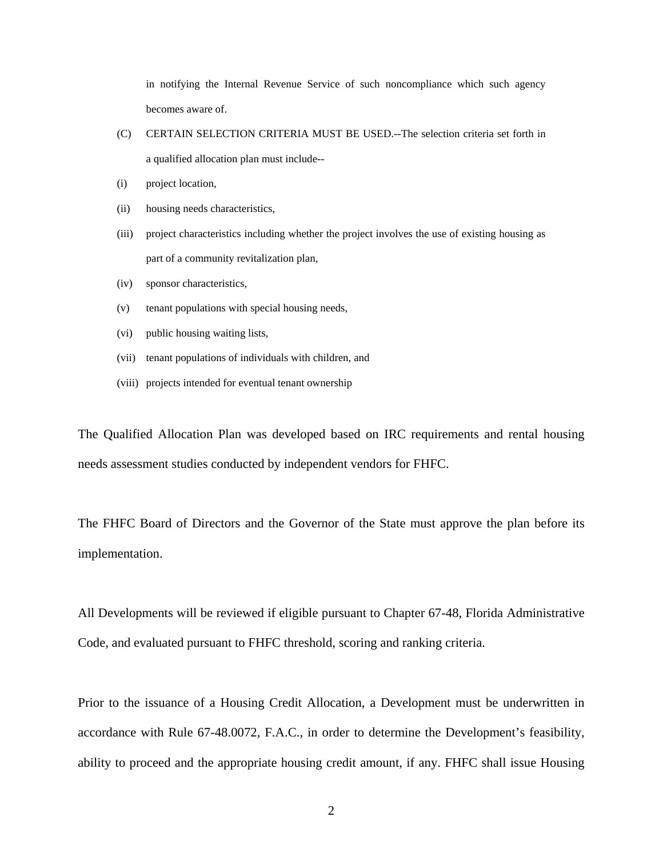in notifying the Internal Revenue Service of such noncompliance which such agency becomes aware of.

- (C) CERTAIN SELECTION CRITERIA MUST BE USED.--The selection criteria set forth in a qualified allocation plan must include--
- (i) project location,
- (ii) housing needs characteristics,
- (iii) project characteristics including whether the project involves the use of existing housing as part of a community revitalization plan,
- (iv) sponsor characteristics,
- (v) tenant populations with special housing needs,
- (vi) public housing waiting lists,
- (vii) tenant populations of individuals with children, and
- (viii) projects intended for eventual tenant ownership

The Qualified Allocation Plan was developed based on IRC requirements and rental housing needs assessment studies conducted by independent vendors for FHFC.

The FHFC Board of Directors and the Governor of the State must approve the plan before its implementation.

All Developments will be reviewed if eligible pursuant to Chapter 67-48, Florida Administrative Code, and evaluated pursuant to FHFC threshold, scoring and ranking criteria.

Prior to the issuance of a Housing Credit Allocation, a Development must be underwritten in accordance with Rule 67-48.0072, F.A.C., in order to determine the Development's feasibility, ability to proceed and the appropriate housing credit amount, if any. FHFC shall issue Housing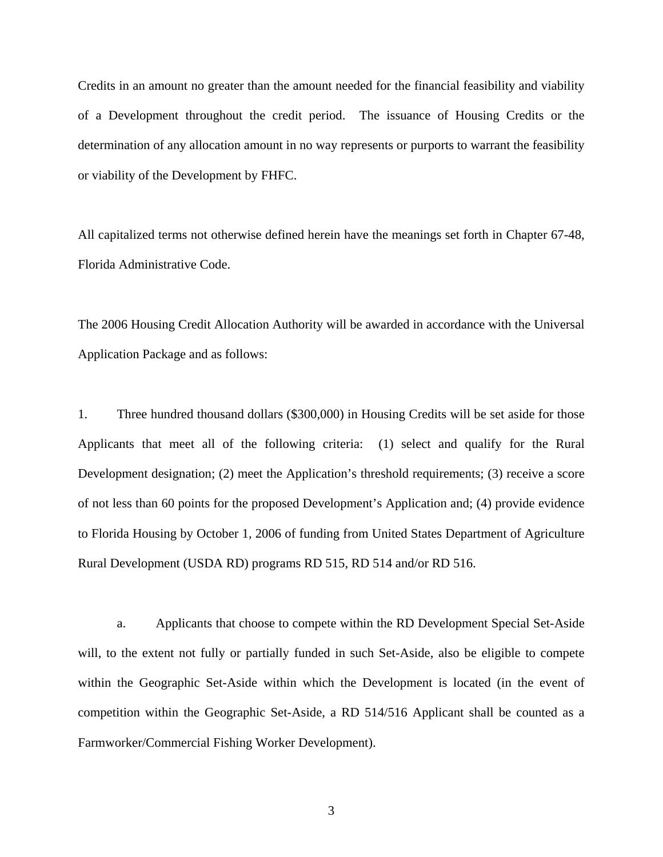Credits in an amount no greater than the amount needed for the financial feasibility and viability of a Development throughout the credit period. The issuance of Housing Credits or the determination of any allocation amount in no way represents or purports to warrant the feasibility or viability of the Development by FHFC.

All capitalized terms not otherwise defined herein have the meanings set forth in Chapter 67-48, Florida Administrative Code.

The 2006 Housing Credit Allocation Authority will be awarded in accordance with the Universal Application Package and as follows:

1. Three hundred thousand dollars (\$300,000) in Housing Credits will be set aside for those Applicants that meet all of the following criteria: (1) select and qualify for the Rural Development designation; (2) meet the Application's threshold requirements; (3) receive a score of not less than 60 points for the proposed Development's Application and; (4) provide evidence to Florida Housing by October 1, 2006 of funding from United States Department of Agriculture Rural Development (USDA RD) programs RD 515, RD 514 and/or RD 516.

a. Applicants that choose to compete within the RD Development Special Set-Aside will, to the extent not fully or partially funded in such Set-Aside, also be eligible to compete within the Geographic Set-Aside within which the Development is located (in the event of competition within the Geographic Set-Aside, a RD 514/516 Applicant shall be counted as a Farmworker/Commercial Fishing Worker Development).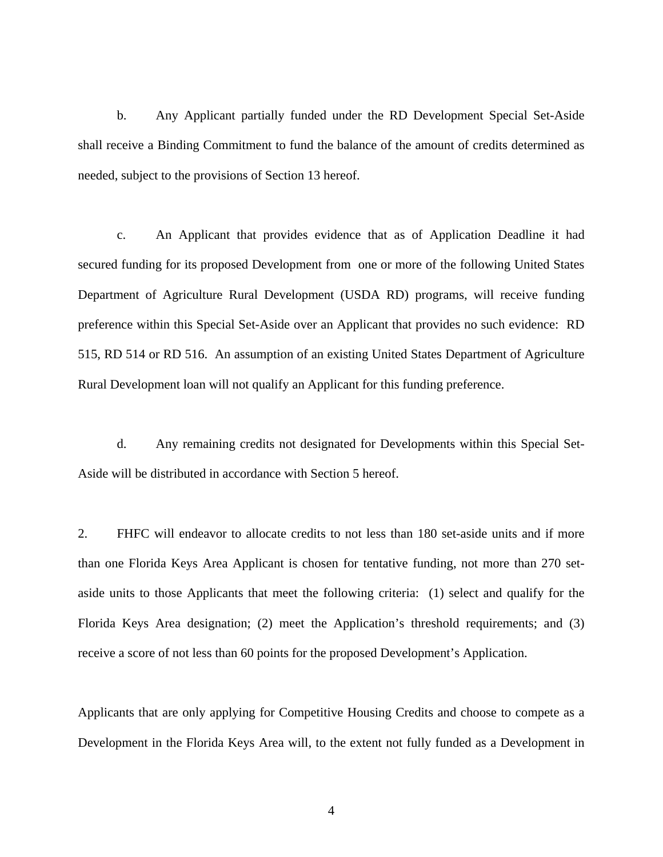b. Any Applicant partially funded under the RD Development Special Set-Aside shall receive a Binding Commitment to fund the balance of the amount of credits determined as needed, subject to the provisions of Section 13 hereof.

c. An Applicant that provides evidence that as of Application Deadline it had secured funding for its proposed Development from one or more of the following United States Department of Agriculture Rural Development (USDA RD) programs, will receive funding preference within this Special Set-Aside over an Applicant that provides no such evidence: RD 515, RD 514 or RD 516. An assumption of an existing United States Department of Agriculture Rural Development loan will not qualify an Applicant for this funding preference.

d. Any remaining credits not designated for Developments within this Special Set-Aside will be distributed in accordance with Section 5 hereof.

2. FHFC will endeavor to allocate credits to not less than 180 set-aside units and if more than one Florida Keys Area Applicant is chosen for tentative funding, not more than 270 setaside units to those Applicants that meet the following criteria: (1) select and qualify for the Florida Keys Area designation; (2) meet the Application's threshold requirements; and (3) receive a score of not less than 60 points for the proposed Development's Application.

Applicants that are only applying for Competitive Housing Credits and choose to compete as a Development in the Florida Keys Area will, to the extent not fully funded as a Development in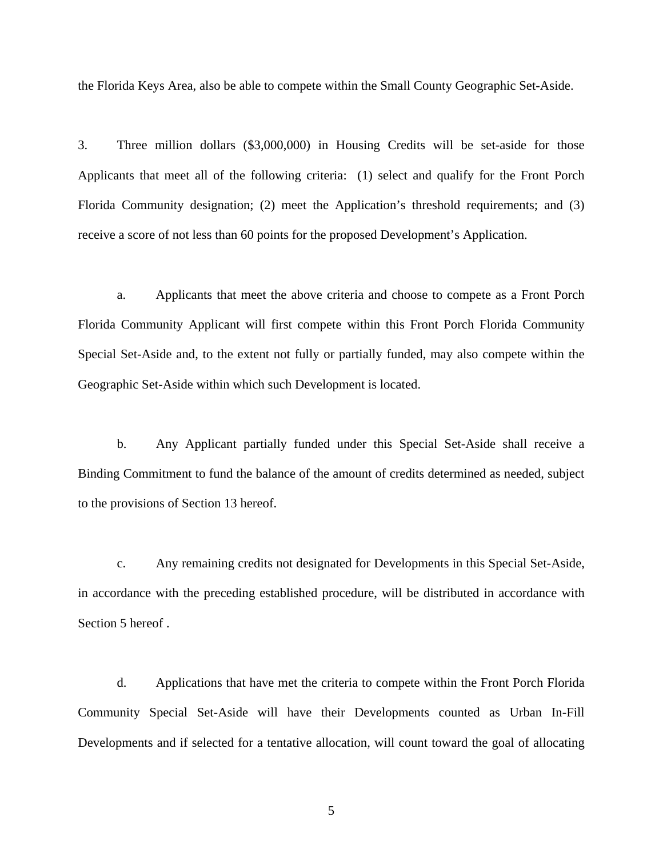the Florida Keys Area, also be able to compete within the Small County Geographic Set-Aside.

3. Three million dollars (\$3,000,000) in Housing Credits will be set-aside for those Applicants that meet all of the following criteria: (1) select and qualify for the Front Porch Florida Community designation; (2) meet the Application's threshold requirements; and (3) receive a score of not less than 60 points for the proposed Development's Application.

a. Applicants that meet the above criteria and choose to compete as a Front Porch Florida Community Applicant will first compete within this Front Porch Florida Community Special Set-Aside and, to the extent not fully or partially funded, may also compete within the Geographic Set-Aside within which such Development is located.

b. Any Applicant partially funded under this Special Set-Aside shall receive a Binding Commitment to fund the balance of the amount of credits determined as needed, subject to the provisions of Section 13 hereof.

c. Any remaining credits not designated for Developments in this Special Set-Aside, in accordance with the preceding established procedure, will be distributed in accordance with Section 5 hereof .

d. Applications that have met the criteria to compete within the Front Porch Florida Community Special Set-Aside will have their Developments counted as Urban In-Fill Developments and if selected for a tentative allocation, will count toward the goal of allocating

5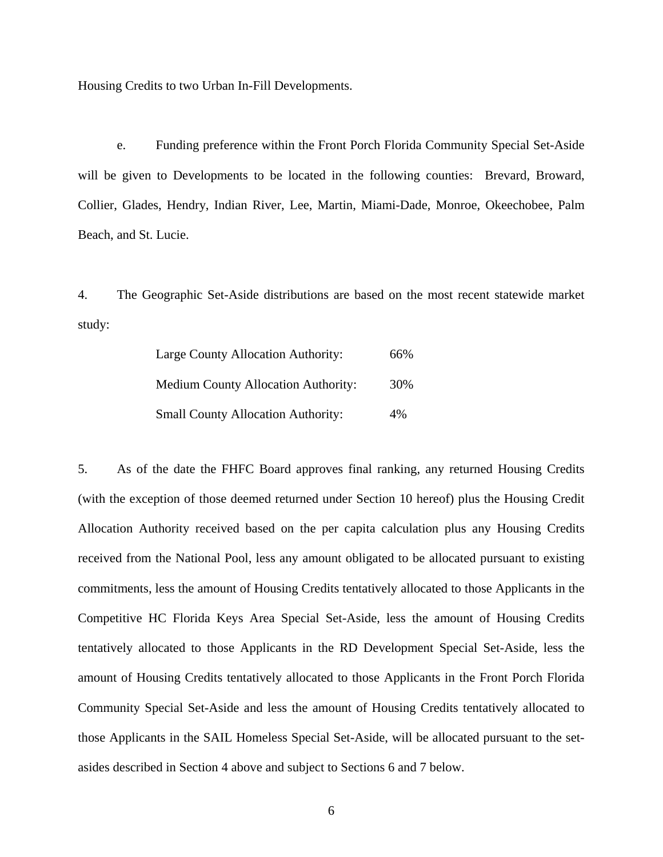Housing Credits to two Urban In-Fill Developments.

e. Funding preference within the Front Porch Florida Community Special Set-Aside will be given to Developments to be located in the following counties: Brevard, Broward, Collier, Glades, Hendry, Indian River, Lee, Martin, Miami-Dade, Monroe, Okeechobee, Palm Beach, and St. Lucie.

4. The Geographic Set-Aside distributions are based on the most recent statewide market study:

| Large County Allocation Authority:         | 66% |
|--------------------------------------------|-----|
| <b>Medium County Allocation Authority:</b> | 30% |
| <b>Small County Allocation Authority:</b>  | 4%  |

5. As of the date the FHFC Board approves final ranking, any returned Housing Credits (with the exception of those deemed returned under Section 10 hereof) plus the Housing Credit Allocation Authority received based on the per capita calculation plus any Housing Credits received from the National Pool, less any amount obligated to be allocated pursuant to existing commitments, less the amount of Housing Credits tentatively allocated to those Applicants in the Competitive HC Florida Keys Area Special Set-Aside, less the amount of Housing Credits tentatively allocated to those Applicants in the RD Development Special Set-Aside, less the amount of Housing Credits tentatively allocated to those Applicants in the Front Porch Florida Community Special Set-Aside and less the amount of Housing Credits tentatively allocated to those Applicants in the SAIL Homeless Special Set-Aside, will be allocated pursuant to the setasides described in Section 4 above and subject to Sections 6 and 7 below.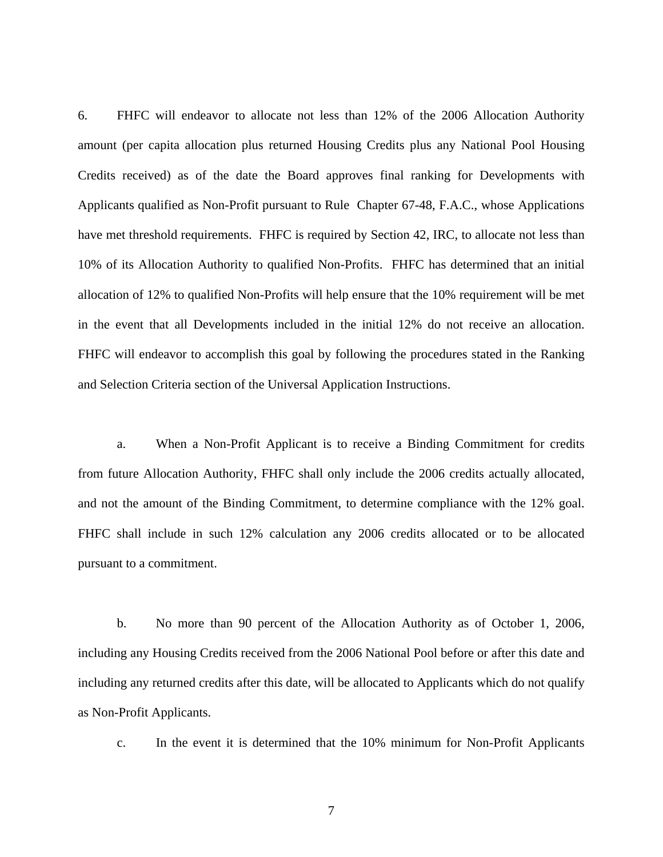6. FHFC will endeavor to allocate not less than 12% of the 2006 Allocation Authority amount (per capita allocation plus returned Housing Credits plus any National Pool Housing Credits received) as of the date the Board approves final ranking for Developments with Applicants qualified as Non-Profit pursuant to Rule Chapter 67-48, F.A.C., whose Applications have met threshold requirements. FHFC is required by Section 42, IRC, to allocate not less than 10% of its Allocation Authority to qualified Non-Profits. FHFC has determined that an initial allocation of 12% to qualified Non-Profits will help ensure that the 10% requirement will be met in the event that all Developments included in the initial 12% do not receive an allocation. FHFC will endeavor to accomplish this goal by following the procedures stated in the Ranking and Selection Criteria section of the Universal Application Instructions.

a. When a Non-Profit Applicant is to receive a Binding Commitment for credits from future Allocation Authority, FHFC shall only include the 2006 credits actually allocated, and not the amount of the Binding Commitment, to determine compliance with the 12% goal. FHFC shall include in such 12% calculation any 2006 credits allocated or to be allocated pursuant to a commitment.

b. No more than 90 percent of the Allocation Authority as of October 1, 2006, including any Housing Credits received from the 2006 National Pool before or after this date and including any returned credits after this date, will be allocated to Applicants which do not qualify as Non-Profit Applicants.

c. In the event it is determined that the 10% minimum for Non-Profit Applicants

7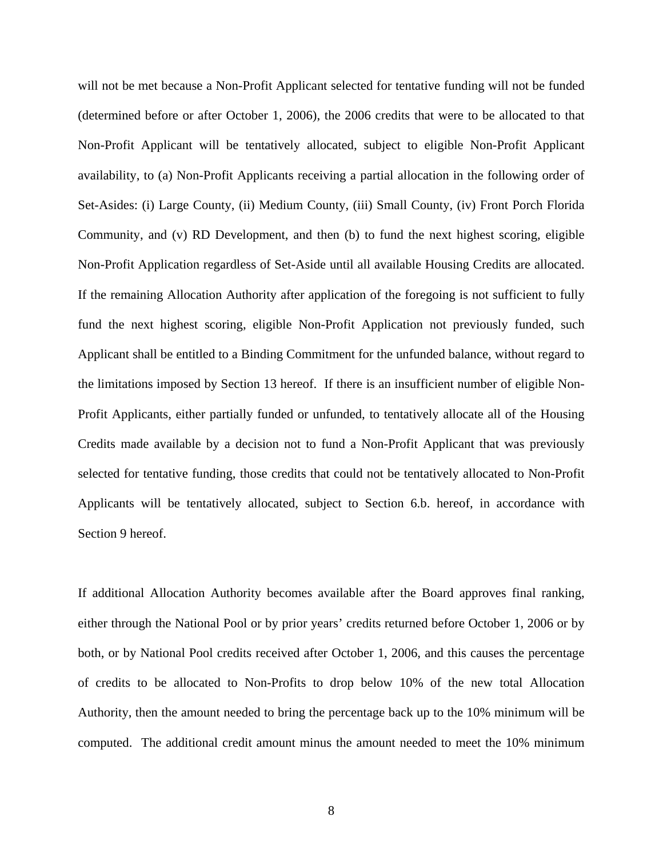will not be met because a Non-Profit Applicant selected for tentative funding will not be funded (determined before or after October 1, 2006), the 2006 credits that were to be allocated to that Non-Profit Applicant will be tentatively allocated, subject to eligible Non-Profit Applicant availability, to (a) Non-Profit Applicants receiving a partial allocation in the following order of Set-Asides: (i) Large County, (ii) Medium County, (iii) Small County, (iv) Front Porch Florida Community, and (v) RD Development, and then (b) to fund the next highest scoring, eligible Non-Profit Application regardless of Set-Aside until all available Housing Credits are allocated. If the remaining Allocation Authority after application of the foregoing is not sufficient to fully fund the next highest scoring, eligible Non-Profit Application not previously funded, such Applicant shall be entitled to a Binding Commitment for the unfunded balance, without regard to the limitations imposed by Section 13 hereof. If there is an insufficient number of eligible Non-Profit Applicants, either partially funded or unfunded, to tentatively allocate all of the Housing Credits made available by a decision not to fund a Non-Profit Applicant that was previously selected for tentative funding, those credits that could not be tentatively allocated to Non-Profit Applicants will be tentatively allocated, subject to Section 6.b. hereof, in accordance with Section 9 hereof.

If additional Allocation Authority becomes available after the Board approves final ranking, either through the National Pool or by prior years' credits returned before October 1, 2006 or by both, or by National Pool credits received after October 1, 2006, and this causes the percentage of credits to be allocated to Non-Profits to drop below 10% of the new total Allocation Authority, then the amount needed to bring the percentage back up to the 10% minimum will be computed. The additional credit amount minus the amount needed to meet the 10% minimum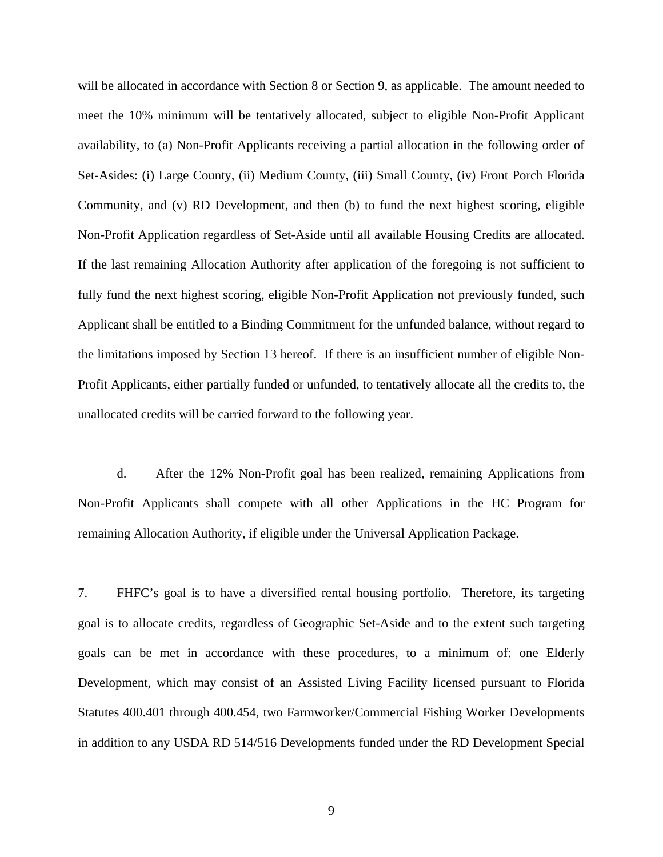will be allocated in accordance with Section 8 or Section 9, as applicable. The amount needed to meet the 10% minimum will be tentatively allocated, subject to eligible Non-Profit Applicant availability, to (a) Non-Profit Applicants receiving a partial allocation in the following order of Set-Asides: (i) Large County, (ii) Medium County, (iii) Small County, (iv) Front Porch Florida Community, and (v) RD Development, and then (b) to fund the next highest scoring, eligible Non-Profit Application regardless of Set-Aside until all available Housing Credits are allocated. If the last remaining Allocation Authority after application of the foregoing is not sufficient to fully fund the next highest scoring, eligible Non-Profit Application not previously funded, such Applicant shall be entitled to a Binding Commitment for the unfunded balance, without regard to the limitations imposed by Section 13 hereof. If there is an insufficient number of eligible Non-Profit Applicants, either partially funded or unfunded, to tentatively allocate all the credits to, the unallocated credits will be carried forward to the following year.

d. After the 12% Non-Profit goal has been realized, remaining Applications from Non-Profit Applicants shall compete with all other Applications in the HC Program for remaining Allocation Authority, if eligible under the Universal Application Package.

7. FHFC's goal is to have a diversified rental housing portfolio. Therefore, its targeting goal is to allocate credits, regardless of Geographic Set-Aside and to the extent such targeting goals can be met in accordance with these procedures, to a minimum of: one Elderly Development, which may consist of an Assisted Living Facility licensed pursuant to Florida Statutes 400.401 through 400.454, two Farmworker/Commercial Fishing Worker Developments in addition to any USDA RD 514/516 Developments funded under the RD Development Special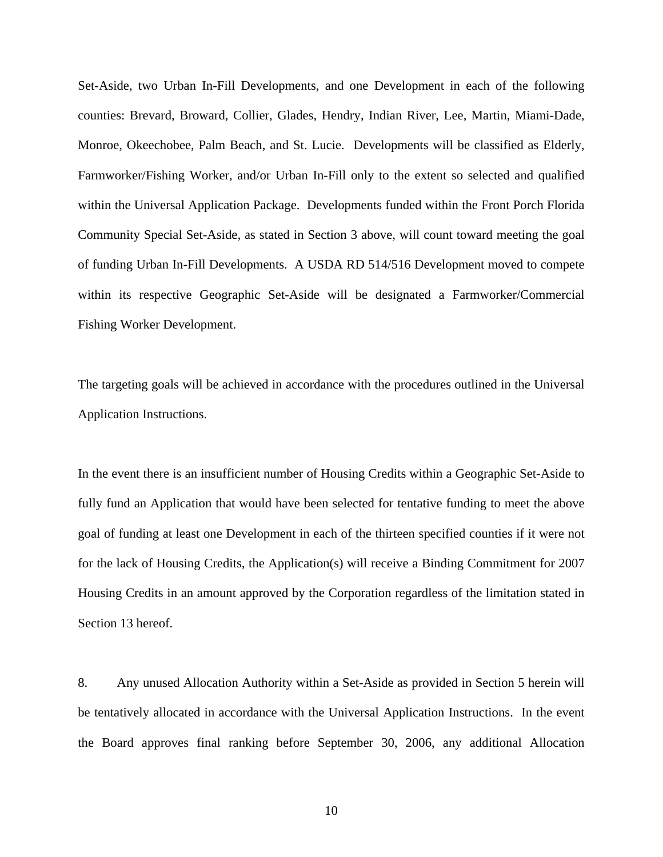Set-Aside, two Urban In-Fill Developments, and one Development in each of the following counties: Brevard, Broward, Collier, Glades, Hendry, Indian River, Lee, Martin, Miami-Dade, Monroe, Okeechobee, Palm Beach, and St. Lucie. Developments will be classified as Elderly, Farmworker/Fishing Worker, and/or Urban In-Fill only to the extent so selected and qualified within the Universal Application Package. Developments funded within the Front Porch Florida Community Special Set-Aside, as stated in Section 3 above, will count toward meeting the goal of funding Urban In-Fill Developments. A USDA RD 514/516 Development moved to compete within its respective Geographic Set-Aside will be designated a Farmworker/Commercial Fishing Worker Development.

The targeting goals will be achieved in accordance with the procedures outlined in the Universal Application Instructions.

In the event there is an insufficient number of Housing Credits within a Geographic Set-Aside to fully fund an Application that would have been selected for tentative funding to meet the above goal of funding at least one Development in each of the thirteen specified counties if it were not for the lack of Housing Credits, the Application(s) will receive a Binding Commitment for 2007 Housing Credits in an amount approved by the Corporation regardless of the limitation stated in Section 13 hereof.

8. Any unused Allocation Authority within a Set-Aside as provided in Section 5 herein will be tentatively allocated in accordance with the Universal Application Instructions. In the event the Board approves final ranking before September 30, 2006, any additional Allocation

10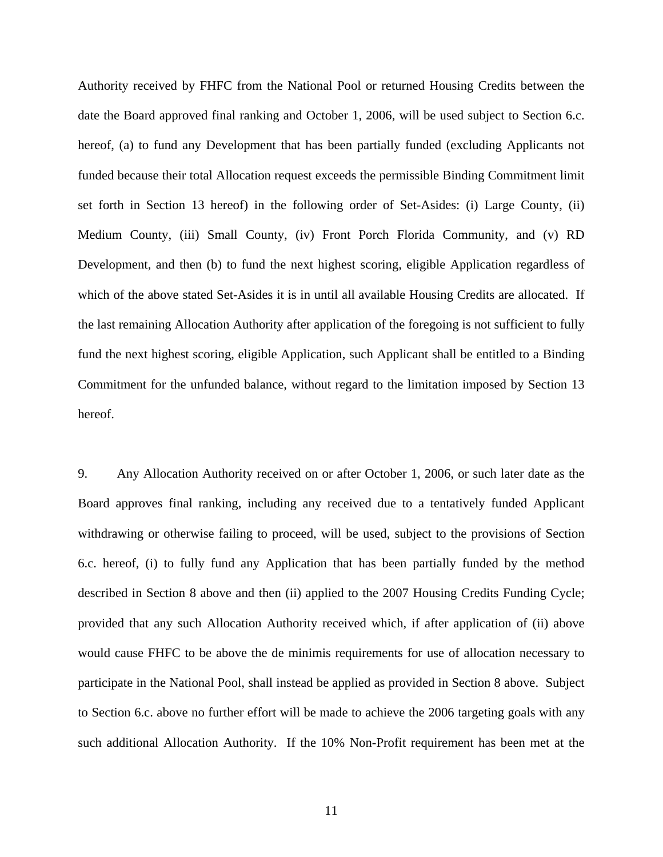Authority received by FHFC from the National Pool or returned Housing Credits between the date the Board approved final ranking and October 1, 2006, will be used subject to Section 6.c. hereof, (a) to fund any Development that has been partially funded (excluding Applicants not funded because their total Allocation request exceeds the permissible Binding Commitment limit set forth in Section 13 hereof) in the following order of Set-Asides: (i) Large County, (ii) Medium County, (iii) Small County, (iv) Front Porch Florida Community, and (v) RD Development, and then (b) to fund the next highest scoring, eligible Application regardless of which of the above stated Set-Asides it is in until all available Housing Credits are allocated. If the last remaining Allocation Authority after application of the foregoing is not sufficient to fully fund the next highest scoring, eligible Application, such Applicant shall be entitled to a Binding Commitment for the unfunded balance, without regard to the limitation imposed by Section 13 hereof.

9. Any Allocation Authority received on or after October 1, 2006, or such later date as the Board approves final ranking, including any received due to a tentatively funded Applicant withdrawing or otherwise failing to proceed, will be used, subject to the provisions of Section 6.c. hereof, (i) to fully fund any Application that has been partially funded by the method described in Section 8 above and then (ii) applied to the 2007 Housing Credits Funding Cycle; provided that any such Allocation Authority received which, if after application of (ii) above would cause FHFC to be above the de minimis requirements for use of allocation necessary to participate in the National Pool, shall instead be applied as provided in Section 8 above. Subject to Section 6.c. above no further effort will be made to achieve the 2006 targeting goals with any such additional Allocation Authority. If the 10% Non-Profit requirement has been met at the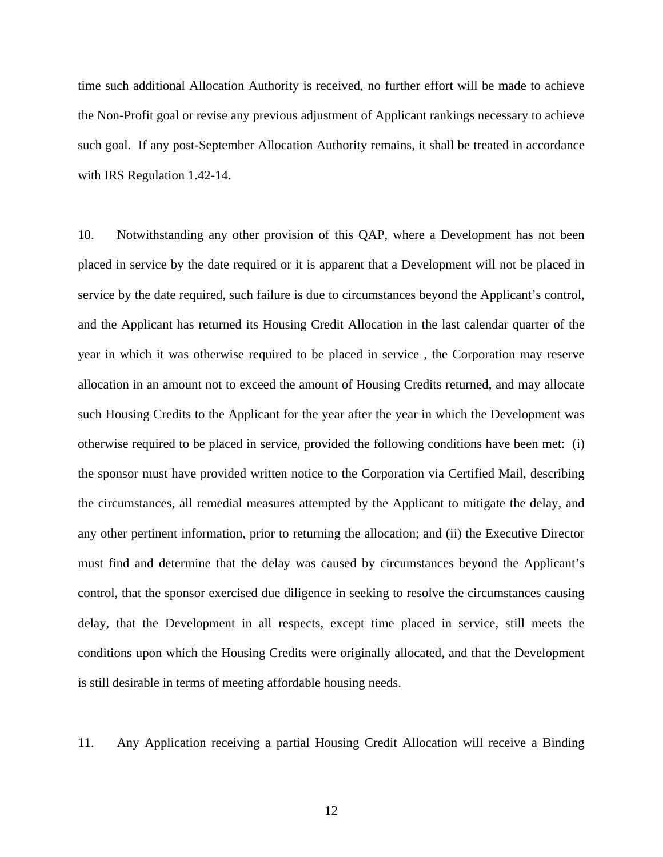time such additional Allocation Authority is received, no further effort will be made to achieve the Non-Profit goal or revise any previous adjustment of Applicant rankings necessary to achieve such goal. If any post-September Allocation Authority remains, it shall be treated in accordance with IRS Regulation 1.42-14.

10. Notwithstanding any other provision of this QAP, where a Development has not been placed in service by the date required or it is apparent that a Development will not be placed in service by the date required, such failure is due to circumstances beyond the Applicant's control, and the Applicant has returned its Housing Credit Allocation in the last calendar quarter of the year in which it was otherwise required to be placed in service , the Corporation may reserve allocation in an amount not to exceed the amount of Housing Credits returned, and may allocate such Housing Credits to the Applicant for the year after the year in which the Development was otherwise required to be placed in service, provided the following conditions have been met: (i) the sponsor must have provided written notice to the Corporation via Certified Mail, describing the circumstances, all remedial measures attempted by the Applicant to mitigate the delay, and any other pertinent information, prior to returning the allocation; and (ii) the Executive Director must find and determine that the delay was caused by circumstances beyond the Applicant's control, that the sponsor exercised due diligence in seeking to resolve the circumstances causing delay, that the Development in all respects, except time placed in service, still meets the conditions upon which the Housing Credits were originally allocated, and that the Development is still desirable in terms of meeting affordable housing needs.

11. Any Application receiving a partial Housing Credit Allocation will receive a Binding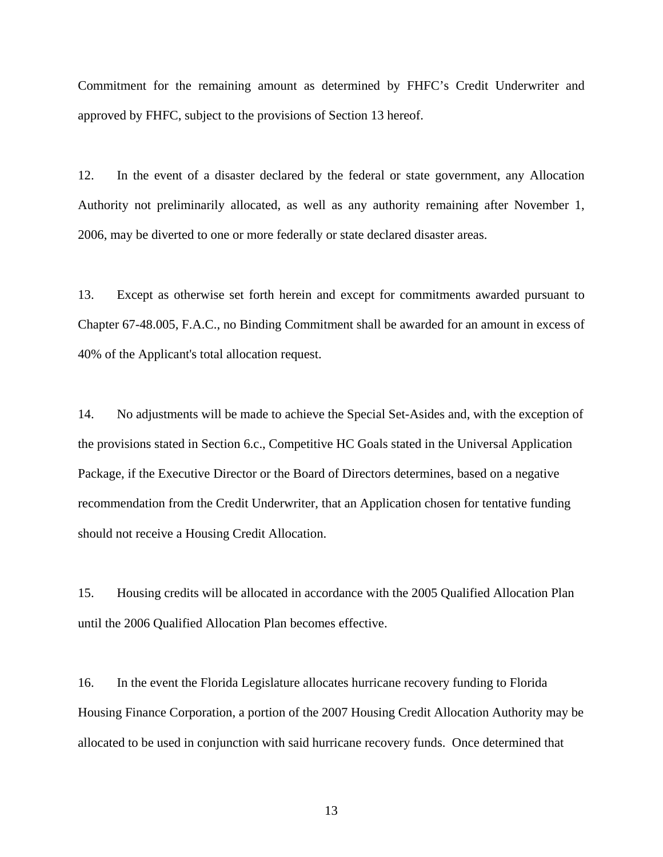Commitment for the remaining amount as determined by FHFC's Credit Underwriter and approved by FHFC, subject to the provisions of Section 13 hereof.

12. In the event of a disaster declared by the federal or state government, any Allocation Authority not preliminarily allocated, as well as any authority remaining after November 1, 2006, may be diverted to one or more federally or state declared disaster areas.

13. Except as otherwise set forth herein and except for commitments awarded pursuant to Chapter 67-48.005, F.A.C., no Binding Commitment shall be awarded for an amount in excess of 40% of the Applicant's total allocation request.

14. No adjustments will be made to achieve the Special Set-Asides and, with the exception of the provisions stated in Section 6.c., Competitive HC Goals stated in the Universal Application Package, if the Executive Director or the Board of Directors determines, based on a negative recommendation from the Credit Underwriter, that an Application chosen for tentative funding should not receive a Housing Credit Allocation.

15. Housing credits will be allocated in accordance with the 2005 Qualified Allocation Plan until the 2006 Qualified Allocation Plan becomes effective.

16. In the event the Florida Legislature allocates hurricane recovery funding to Florida Housing Finance Corporation, a portion of the 2007 Housing Credit Allocation Authority may be allocated to be used in conjunction with said hurricane recovery funds. Once determined that

13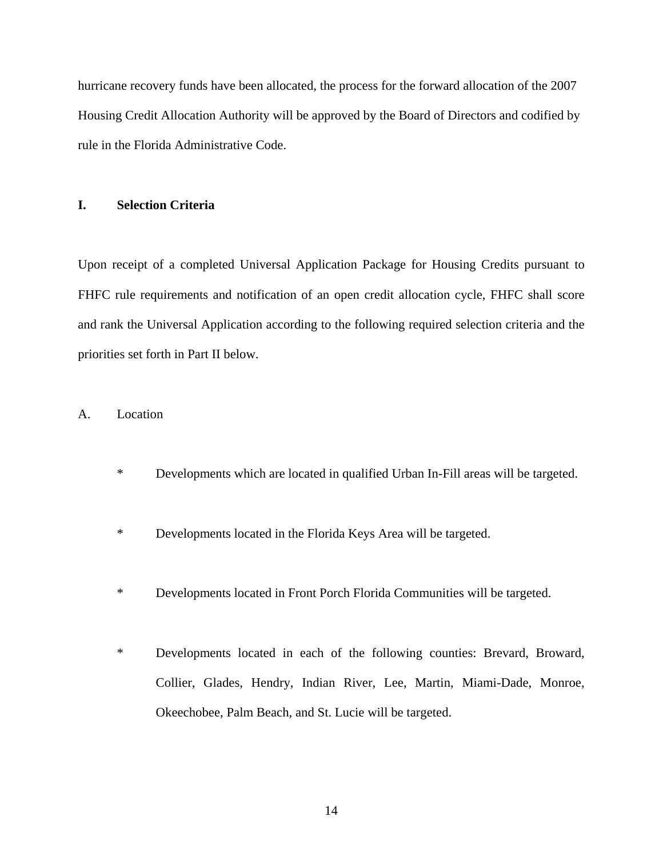hurricane recovery funds have been allocated, the process for the forward allocation of the 2007 Housing Credit Allocation Authority will be approved by the Board of Directors and codified by rule in the Florida Administrative Code.

## **I. Selection Criteria**

Upon receipt of a completed Universal Application Package for Housing Credits pursuant to FHFC rule requirements and notification of an open credit allocation cycle, FHFC shall score and rank the Universal Application according to the following required selection criteria and the priorities set forth in Part II below.

#### A. Location

- \* Developments which are located in qualified Urban In-Fill areas will be targeted.
- \* Developments located in the Florida Keys Area will be targeted.
- \* Developments located in Front Porch Florida Communities will be targeted.
- \* Developments located in each of the following counties: Brevard, Broward, Collier, Glades, Hendry, Indian River, Lee, Martin, Miami-Dade, Monroe, Okeechobee, Palm Beach, and St. Lucie will be targeted.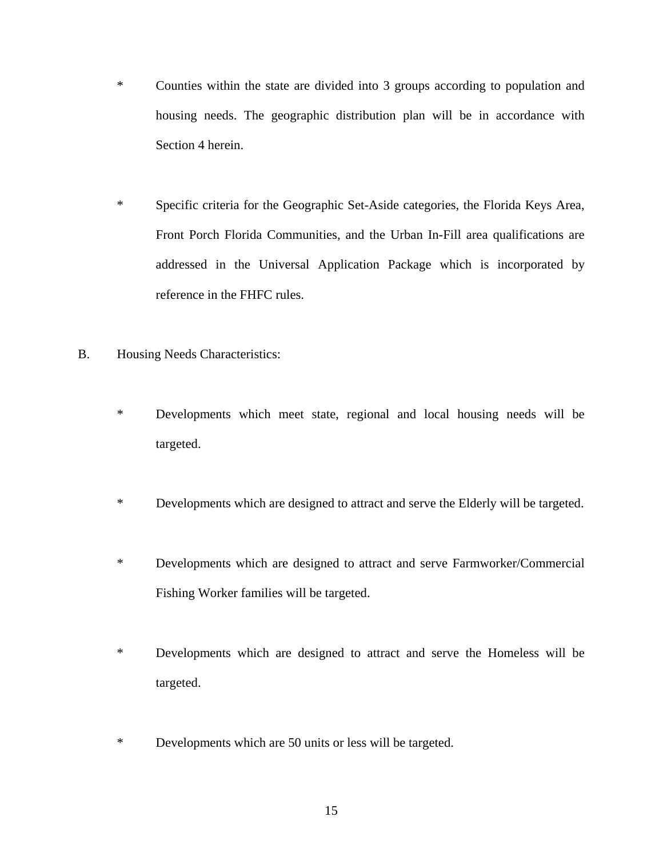- \* Counties within the state are divided into 3 groups according to population and housing needs. The geographic distribution plan will be in accordance with Section 4 herein.
- \* Specific criteria for the Geographic Set-Aside categories, the Florida Keys Area, Front Porch Florida Communities, and the Urban In-Fill area qualifications are addressed in the Universal Application Package which is incorporated by reference in the FHFC rules.
- B. Housing Needs Characteristics:
	- \* Developments which meet state, regional and local housing needs will be targeted.
	- \* Developments which are designed to attract and serve the Elderly will be targeted.
	- \* Developments which are designed to attract and serve Farmworker/Commercial Fishing Worker families will be targeted.
	- \* Developments which are designed to attract and serve the Homeless will be targeted.
	- \* Developments which are 50 units or less will be targeted.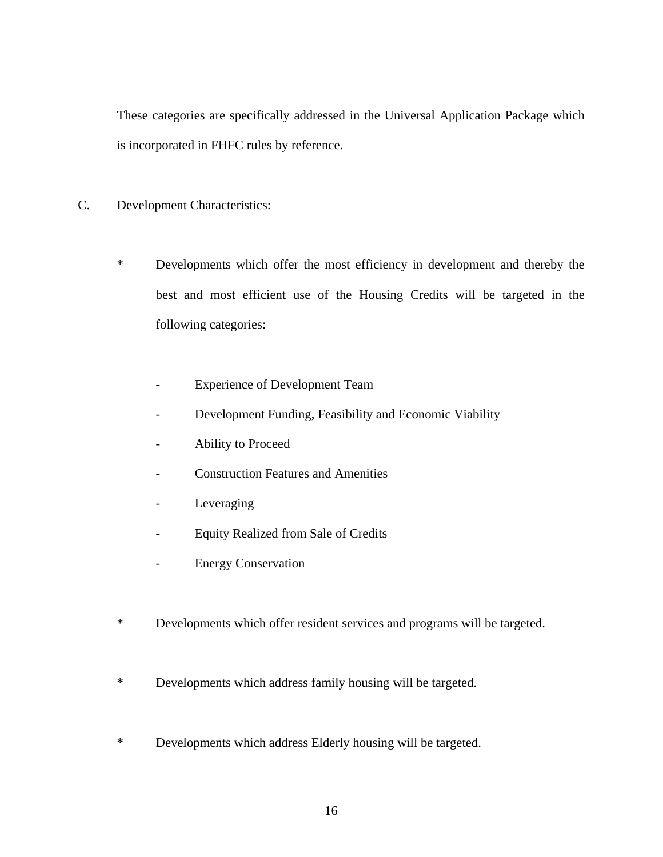These categories are specifically addressed in the Universal Application Package which is incorporated in FHFC rules by reference.

- C. Development Characteristics:
	- \* Developments which offer the most efficiency in development and thereby the best and most efficient use of the Housing Credits will be targeted in the following categories:
		- Experience of Development Team
		- Development Funding, Feasibility and Economic Viability
		- Ability to Proceed
		- Construction Features and Amenities
		- Leveraging
		- Equity Realized from Sale of Credits
		- Energy Conservation
	- \* Developments which offer resident services and programs will be targeted.
	- \* Developments which address family housing will be targeted.
	- \* Developments which address Elderly housing will be targeted.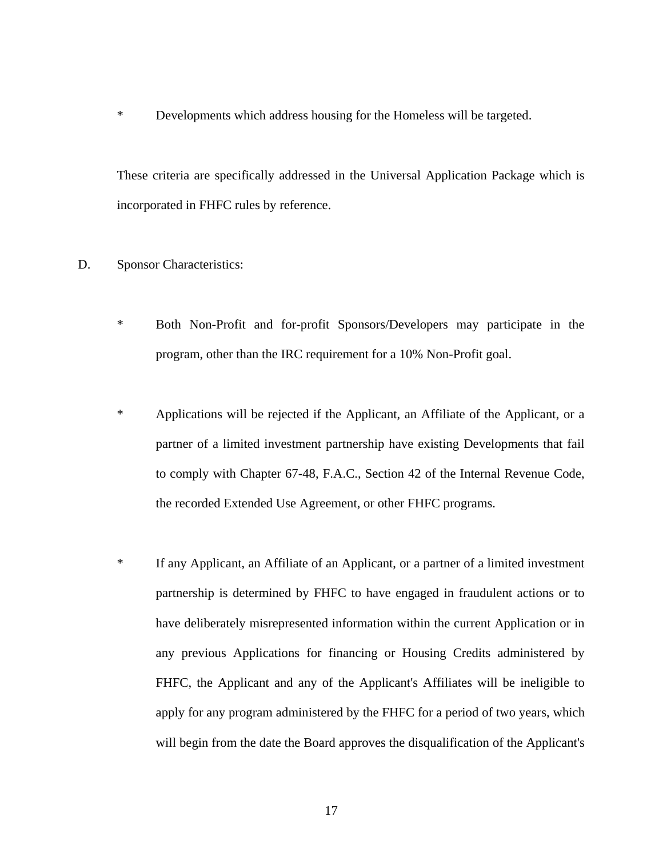\* Developments which address housing for the Homeless will be targeted.

These criteria are specifically addressed in the Universal Application Package which is incorporated in FHFC rules by reference.

### D. Sponsor Characteristics:

- \* Both Non-Profit and for-profit Sponsors/Developers may participate in the program, other than the IRC requirement for a 10% Non-Profit goal.
- \* Applications will be rejected if the Applicant, an Affiliate of the Applicant, or a partner of a limited investment partnership have existing Developments that fail to comply with Chapter 67-48, F.A.C., Section 42 of the Internal Revenue Code, the recorded Extended Use Agreement, or other FHFC programs.
- \* If any Applicant, an Affiliate of an Applicant, or a partner of a limited investment partnership is determined by FHFC to have engaged in fraudulent actions or to have deliberately misrepresented information within the current Application or in any previous Applications for financing or Housing Credits administered by FHFC, the Applicant and any of the Applicant's Affiliates will be ineligible to apply for any program administered by the FHFC for a period of two years, which will begin from the date the Board approves the disqualification of the Applicant's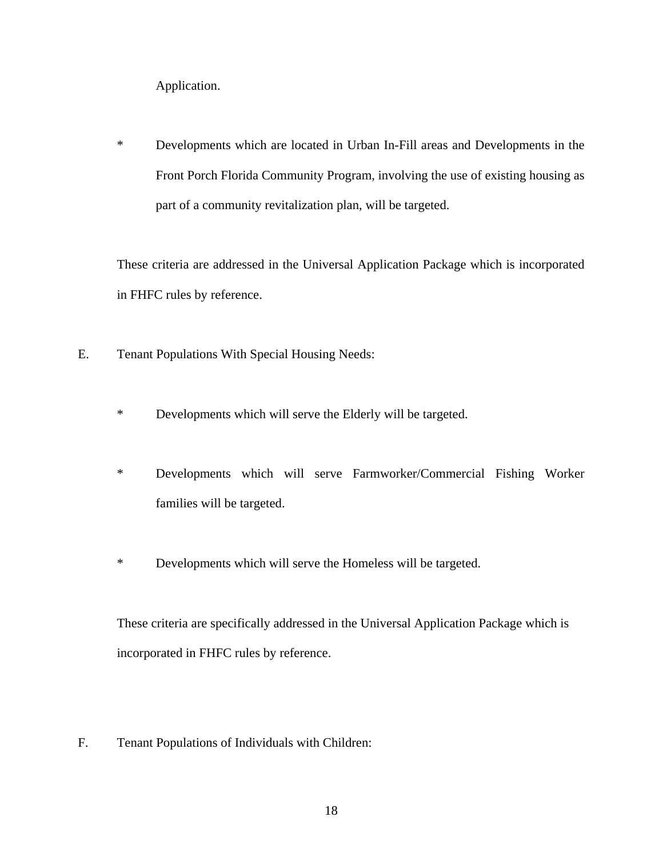Application.

\* Developments which are located in Urban In-Fill areas and Developments in the Front Porch Florida Community Program, involving the use of existing housing as part of a community revitalization plan, will be targeted.

These criteria are addressed in the Universal Application Package which is incorporated in FHFC rules by reference.

- E. Tenant Populations With Special Housing Needs:
	- \* Developments which will serve the Elderly will be targeted.
	- \* Developments which will serve Farmworker/Commercial Fishing Worker families will be targeted.
	- \* Developments which will serve the Homeless will be targeted.

 These criteria are specifically addressed in the Universal Application Package which is incorporated in FHFC rules by reference.

F. Tenant Populations of Individuals with Children: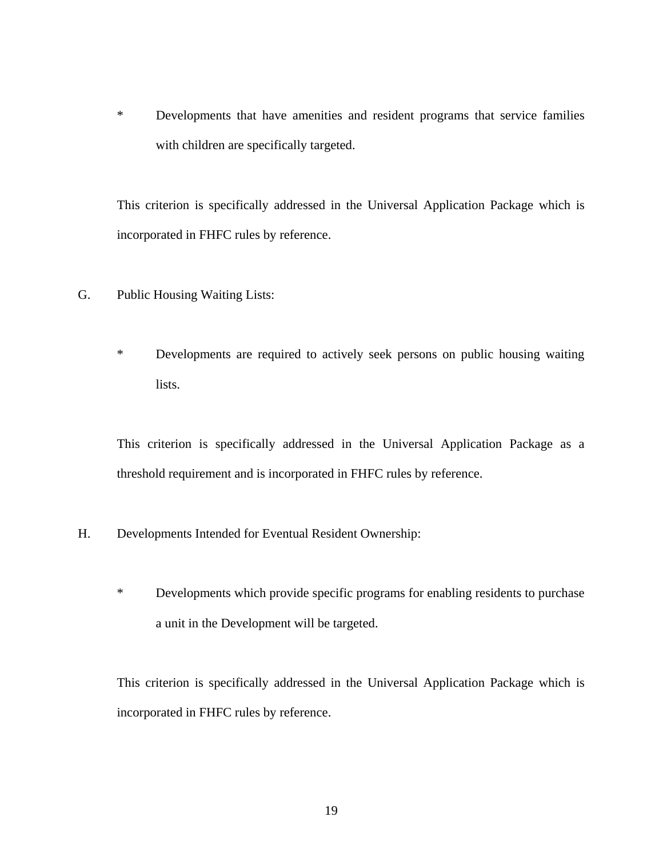\* Developments that have amenities and resident programs that service families with children are specifically targeted.

This criterion is specifically addressed in the Universal Application Package which is incorporated in FHFC rules by reference.

- G. Public Housing Waiting Lists:
	- \* Developments are required to actively seek persons on public housing waiting lists.

This criterion is specifically addressed in the Universal Application Package as a threshold requirement and is incorporated in FHFC rules by reference.

- H. Developments Intended for Eventual Resident Ownership:
	- \* Developments which provide specific programs for enabling residents to purchase a unit in the Development will be targeted.

This criterion is specifically addressed in the Universal Application Package which is incorporated in FHFC rules by reference.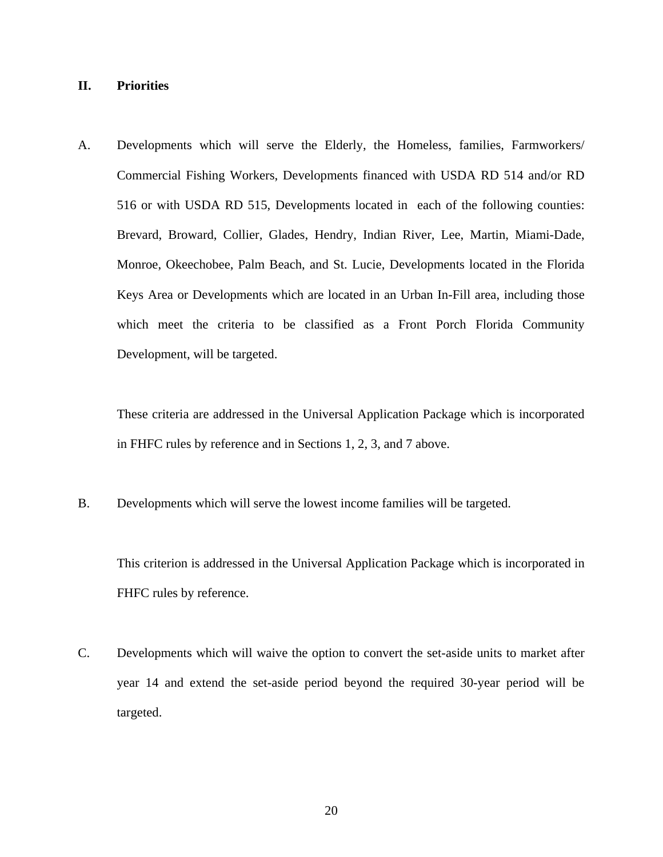## **II. Priorities**

A. Developments which will serve the Elderly, the Homeless, families, Farmworkers/ Commercial Fishing Workers, Developments financed with USDA RD 514 and/or RD 516 or with USDA RD 515, Developments located in each of the following counties: Brevard, Broward, Collier, Glades, Hendry, Indian River, Lee, Martin, Miami-Dade, Monroe, Okeechobee, Palm Beach, and St. Lucie, Developments located in the Florida Keys Area or Developments which are located in an Urban In-Fill area, including those which meet the criteria to be classified as a Front Porch Florida Community Development, will be targeted.

These criteria are addressed in the Universal Application Package which is incorporated in FHFC rules by reference and in Sections 1, 2, 3, and 7 above.

B. Developments which will serve the lowest income families will be targeted.

This criterion is addressed in the Universal Application Package which is incorporated in FHFC rules by reference.

C. Developments which will waive the option to convert the set-aside units to market after year 14 and extend the set-aside period beyond the required 30-year period will be targeted.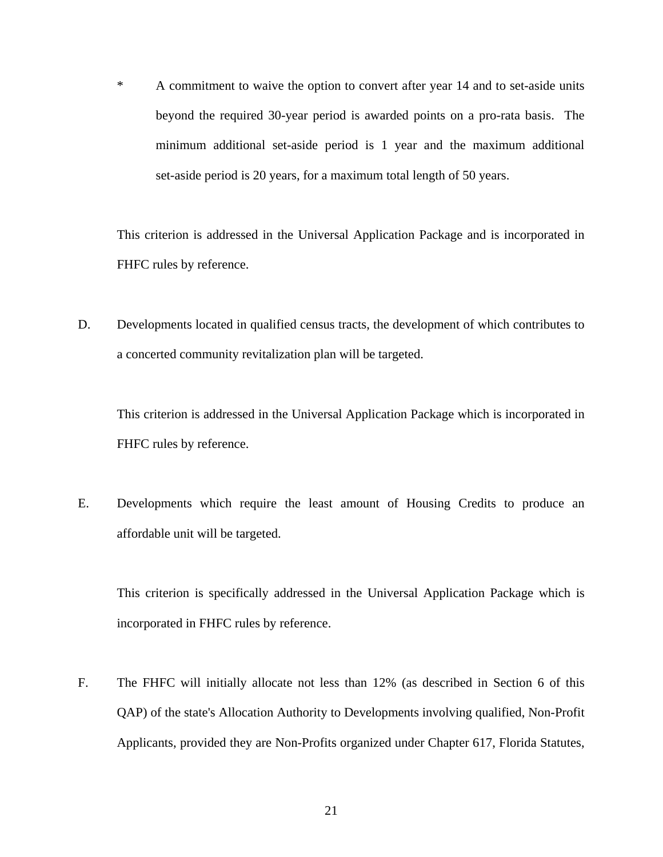\* A commitment to waive the option to convert after year 14 and to set-aside units beyond the required 30-year period is awarded points on a pro-rata basis. The minimum additional set-aside period is 1 year and the maximum additional set-aside period is 20 years, for a maximum total length of 50 years.

This criterion is addressed in the Universal Application Package and is incorporated in FHFC rules by reference.

D. Developments located in qualified census tracts, the development of which contributes to a concerted community revitalization plan will be targeted.

This criterion is addressed in the Universal Application Package which is incorporated in FHFC rules by reference.

E. Developments which require the least amount of Housing Credits to produce an affordable unit will be targeted.

This criterion is specifically addressed in the Universal Application Package which is incorporated in FHFC rules by reference.

F. The FHFC will initially allocate not less than 12% (as described in Section 6 of this QAP) of the state's Allocation Authority to Developments involving qualified, Non-Profit Applicants, provided they are Non-Profits organized under Chapter 617, Florida Statutes,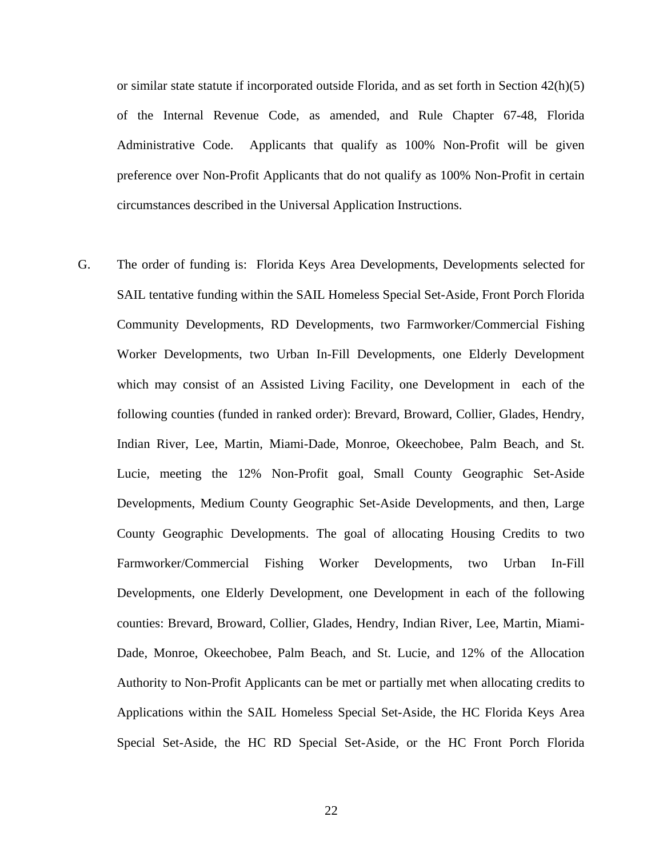or similar state statute if incorporated outside Florida, and as set forth in Section  $42(h)(5)$ of the Internal Revenue Code, as amended, and Rule Chapter 67-48, Florida Administrative Code. Applicants that qualify as 100% Non-Profit will be given preference over Non-Profit Applicants that do not qualify as 100% Non-Profit in certain circumstances described in the Universal Application Instructions.

G. The order of funding is: Florida Keys Area Developments, Developments selected for SAIL tentative funding within the SAIL Homeless Special Set-Aside, Front Porch Florida Community Developments, RD Developments, two Farmworker/Commercial Fishing Worker Developments, two Urban In-Fill Developments, one Elderly Development which may consist of an Assisted Living Facility, one Development in each of the following counties (funded in ranked order): Brevard, Broward, Collier, Glades, Hendry, Indian River, Lee, Martin, Miami-Dade, Monroe, Okeechobee, Palm Beach, and St. Lucie, meeting the 12% Non-Profit goal, Small County Geographic Set-Aside Developments, Medium County Geographic Set-Aside Developments, and then, Large County Geographic Developments. The goal of allocating Housing Credits to two Farmworker/Commercial Fishing Worker Developments, two Urban In-Fill Developments, one Elderly Development, one Development in each of the following counties: Brevard, Broward, Collier, Glades, Hendry, Indian River, Lee, Martin, Miami-Dade, Monroe, Okeechobee, Palm Beach, and St. Lucie, and 12% of the Allocation Authority to Non-Profit Applicants can be met or partially met when allocating credits to Applications within the SAIL Homeless Special Set-Aside, the HC Florida Keys Area Special Set-Aside, the HC RD Special Set-Aside, or the HC Front Porch Florida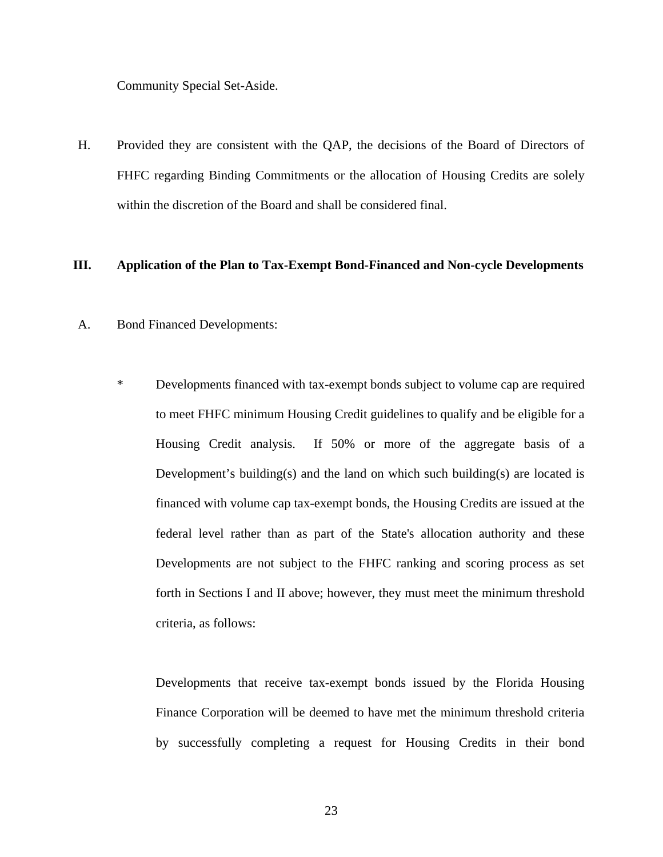Community Special Set-Aside.

H. Provided they are consistent with the QAP, the decisions of the Board of Directors of FHFC regarding Binding Commitments or the allocation of Housing Credits are solely within the discretion of the Board and shall be considered final.

#### **III. Application of the Plan to Tax-Exempt Bond-Financed and Non-cycle Developments**

- A. Bond Financed Developments:
	- \* Developments financed with tax-exempt bonds subject to volume cap are required to meet FHFC minimum Housing Credit guidelines to qualify and be eligible for a Housing Credit analysis. If 50% or more of the aggregate basis of a Development's building(s) and the land on which such building(s) are located is financed with volume cap tax-exempt bonds, the Housing Credits are issued at the federal level rather than as part of the State's allocation authority and these Developments are not subject to the FHFC ranking and scoring process as set forth in Sections I and II above; however, they must meet the minimum threshold criteria, as follows:

Developments that receive tax-exempt bonds issued by the Florida Housing Finance Corporation will be deemed to have met the minimum threshold criteria by successfully completing a request for Housing Credits in their bond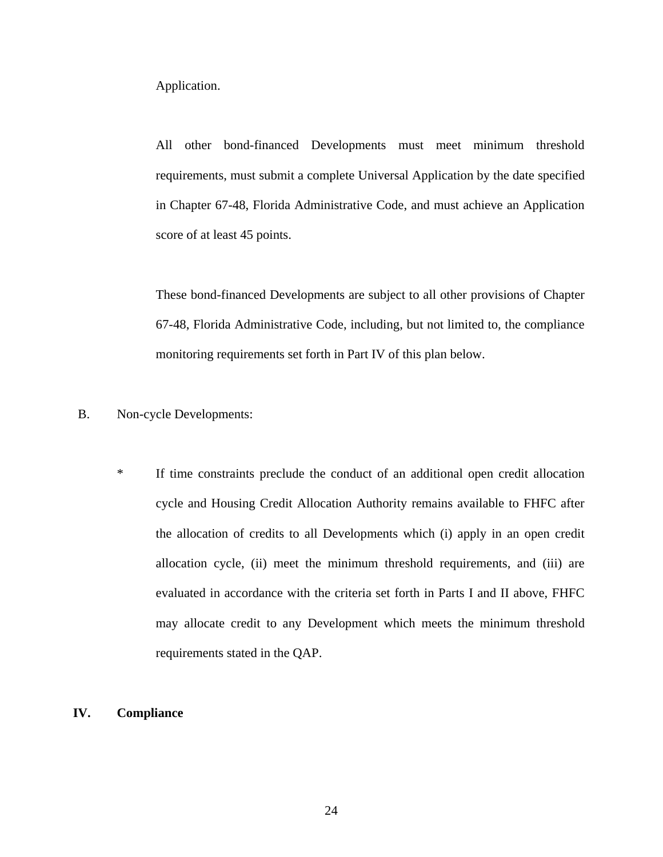Application.

All other bond-financed Developments must meet minimum threshold requirements, must submit a complete Universal Application by the date specified in Chapter 67-48, Florida Administrative Code, and must achieve an Application score of at least 45 points.

These bond-financed Developments are subject to all other provisions of Chapter 67-48, Florida Administrative Code, including, but not limited to, the compliance monitoring requirements set forth in Part IV of this plan below.

- B. Non-cycle Developments:
	- \* If time constraints preclude the conduct of an additional open credit allocation cycle and Housing Credit Allocation Authority remains available to FHFC after the allocation of credits to all Developments which (i) apply in an open credit allocation cycle, (ii) meet the minimum threshold requirements, and (iii) are evaluated in accordance with the criteria set forth in Parts I and II above, FHFC may allocate credit to any Development which meets the minimum threshold requirements stated in the QAP.

#### **IV. Compliance**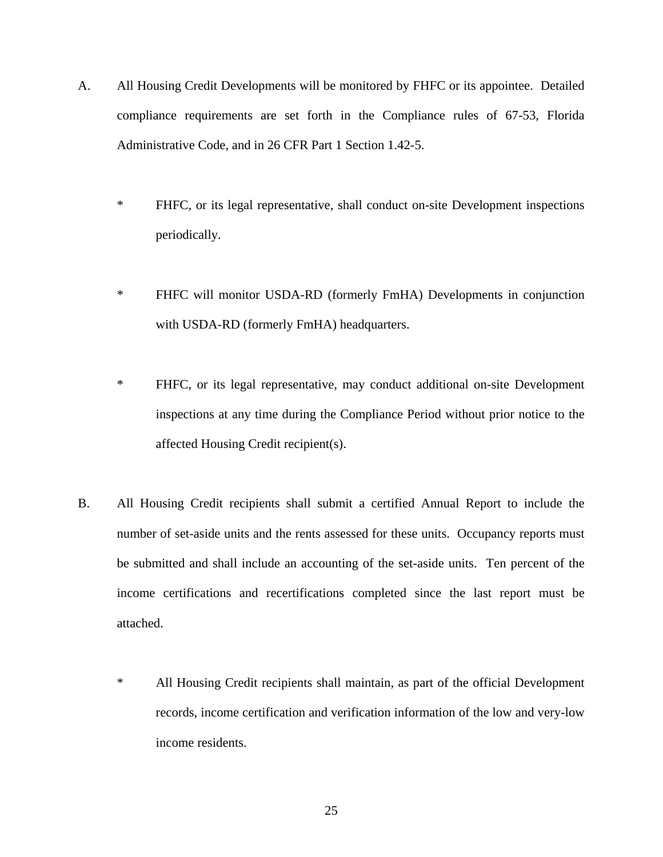- A. All Housing Credit Developments will be monitored by FHFC or its appointee. Detailed compliance requirements are set forth in the Compliance rules of 67-53, Florida Administrative Code, and in 26 CFR Part 1 Section 1.42-5.
	- \* FHFC, or its legal representative, shall conduct on-site Development inspections periodically.
	- \* FHFC will monitor USDA-RD (formerly FmHA) Developments in conjunction with USDA-RD (formerly FmHA) headquarters.
	- \* FHFC, or its legal representative, may conduct additional on-site Development inspections at any time during the Compliance Period without prior notice to the affected Housing Credit recipient(s).
- B. All Housing Credit recipients shall submit a certified Annual Report to include the number of set-aside units and the rents assessed for these units. Occupancy reports must be submitted and shall include an accounting of the set-aside units. Ten percent of the income certifications and recertifications completed since the last report must be attached.
	- \* All Housing Credit recipients shall maintain, as part of the official Development records, income certification and verification information of the low and very-low income residents.